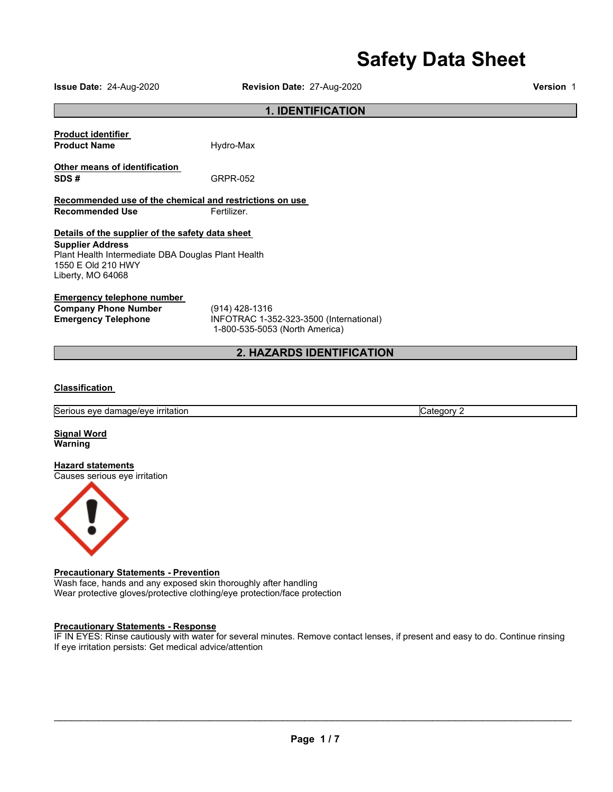# **Safety Data Sheet**

**Issue Date:** 24-Aug-2020 **Revision Date:** 27-Aug-2020 **Version** 1

#### **1. IDENTIFICATION**

| <b>Product identifier</b> |           |
|---------------------------|-----------|
| <b>Product Name</b>       | Hydro-Max |

**Other means of identification** 

**Recommended use of the chemical and restrictions on use Recommended Use <b>Fertilizer.** 

**SDS #** GRPR-052

#### **Details of the supplier of the safety data sheet**

**Supplier Address** Plant Health Intermediate DBA Douglas Plant Health 1550 E Old 210 HWY Liberty, MO 64068

#### **Emergency telephone number**

**Company Phone Number** (914) 428-1316<br> **Emergency Telephone** INFOTRAC 1-3

**Emergency Telephone** INFOTRAC 1-352-323-3500 (International) 1-800-535-5053 (North America)

### **2. HAZARDS IDENTIFICATION**

#### **Classification**

Serious eye damage/eye irritation Category 2

**Signal Word Warning** 

**Hazard statements** Causes serious eye irritation



#### **Precautionary Statements - Prevention**

Wash face, hands and any exposed skin thoroughly after handling Wear protective gloves/protective clothing/eye protection/face protection

#### **Precautionary Statements - Response**

IF IN EYES: Rinse cautiously with water for several minutes. Remove contact lenses, if present and easy to do. Continue rinsing If eye irritation persists: Get medical advice/attention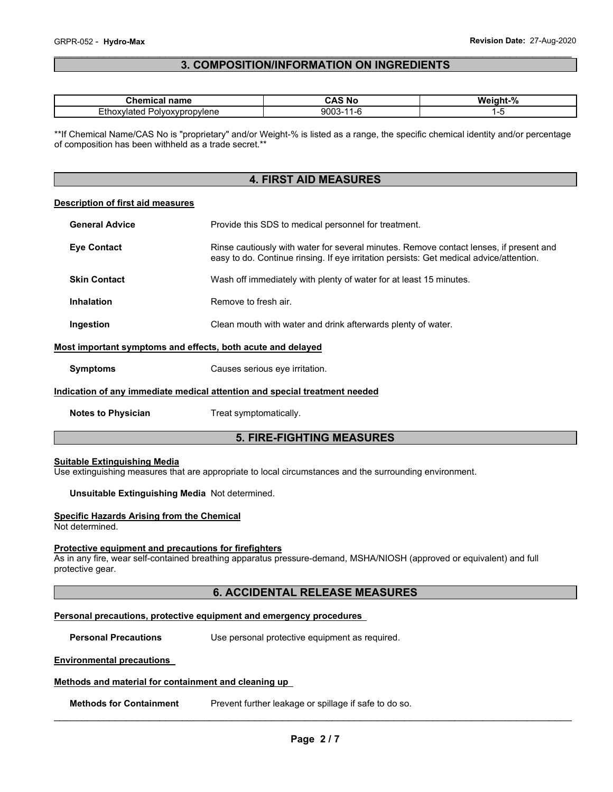#### \_\_\_\_\_\_\_\_\_\_\_\_\_\_\_\_\_\_\_\_\_\_\_\_\_\_\_\_\_\_\_\_\_\_\_\_\_\_\_\_\_\_\_\_\_\_\_\_\_\_\_\_\_\_\_\_\_\_\_\_\_\_\_\_\_\_\_\_\_\_\_\_\_\_\_\_\_\_\_\_\_\_\_\_\_\_\_\_\_\_\_\_\_ **3. COMPOSITION/INFORMATION ON INGREDIENTS**

| $\sim$ $\sim$ $\sim$ $\sim$ $\sim$ $\sim$<br>name<br>wua                         | $\lambda$ C<br>Νo | - 04<br>w.<br>. <del>.</del><br>7٥ |  |
|----------------------------------------------------------------------------------|-------------------|------------------------------------|--|
| $ \cdot$ $\cdot$<br>olyoxypropylene<br>. . atem<br>Euro<br>$. \mathbf{v}$<br>- - | 900<br>.          | -. .<br>$\sim$                     |  |

\*\*If Chemical Name/CAS No is "proprietary" and/or Weight-% is listed as a range, the specific chemical identity and/or percentage of composition has been withheld as a trade secret.\*\*

### **4. FIRST AID MEASURES**

#### **Description of first aid measures**

| <b>General Advice</b> | Provide this SDS to medical personnel for treatment.                                                                                                                              |
|-----------------------|-----------------------------------------------------------------------------------------------------------------------------------------------------------------------------------|
| <b>Eye Contact</b>    | Rinse cautiously with water for several minutes. Remove contact lenses, if present and<br>easy to do. Continue rinsing. If eye irritation persists: Get medical advice/attention. |
| <b>Skin Contact</b>   | Wash off immediately with plenty of water for at least 15 minutes.                                                                                                                |
| <b>Inhalation</b>     | Remove to fresh air.                                                                                                                                                              |
| Ingestion             | Clean mouth with water and drink afterwards plenty of water.                                                                                                                      |

#### **Most important symptoms and effects, both acute and delayed**

#### **Indication of any immediate medical attention and special treatment needed**

**Notes to Physician**  Treat symptomatically.

### **5. FIRE-FIGHTING MEASURES**

#### **Suitable Extinguishing Media**

Use extinguishing measures that are appropriate to local circumstances and the surrounding environment.

**Unsuitable Extinguishing Media** Not determined.

#### **Specific Hazards Arising from the Chemical**

Not determined.

#### **Protective equipment and precautions for firefighters**

As in any fire, wear self-contained breathing apparatus pressure-demand, MSHA/NIOSH (approved or equivalent) and full protective gear.

#### **6. ACCIDENTAL RELEASE MEASURES**

#### **Personal precautions, protective equipment and emergency procedures**

**Personal Precautions Use personal protective equipment as required.** 

#### **Environmental precautions**

#### **Methods and material for containment and cleaning up**

**Methods for Containment** Prevent further leakage or spillage if safe to do so.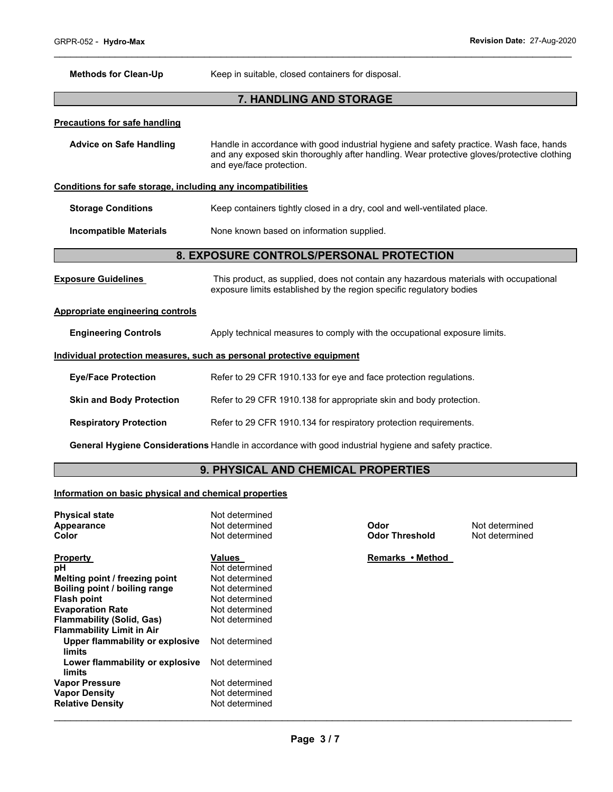| <b>Methods for Clean-Up</b>                                                | Keep in suitable, closed containers for disposal.                                                                                                                                                                 |  |  |  |
|----------------------------------------------------------------------------|-------------------------------------------------------------------------------------------------------------------------------------------------------------------------------------------------------------------|--|--|--|
|                                                                            | 7. HANDLING AND STORAGE                                                                                                                                                                                           |  |  |  |
| <b>Precautions for safe handling</b>                                       |                                                                                                                                                                                                                   |  |  |  |
| <b>Advice on Safe Handling</b>                                             | Handle in accordance with good industrial hygiene and safety practice. Wash face, hands<br>and any exposed skin thoroughly after handling. Wear protective gloves/protective clothing<br>and eye/face protection. |  |  |  |
| Conditions for safe storage, including any incompatibilities               |                                                                                                                                                                                                                   |  |  |  |
| <b>Storage Conditions</b>                                                  | Keep containers tightly closed in a dry, cool and well-ventilated place.                                                                                                                                          |  |  |  |
| None known based on information supplied.<br><b>Incompatible Materials</b> |                                                                                                                                                                                                                   |  |  |  |
| 8. EXPOSURE CONTROLS/PERSONAL PROTECTION                                   |                                                                                                                                                                                                                   |  |  |  |
| <b>Exposure Guidelines</b>                                                 | This product, as supplied, does not contain any hazardous materials with occupational<br>exposure limits established by the region specific regulatory bodies                                                     |  |  |  |
| <b>Appropriate engineering controls</b>                                    |                                                                                                                                                                                                                   |  |  |  |
| <b>Engineering Controls</b>                                                | Apply technical measures to comply with the occupational exposure limits.                                                                                                                                         |  |  |  |
|                                                                            | Individual protection measures, such as personal protective equipment                                                                                                                                             |  |  |  |
| <b>Eye/Face Protection</b>                                                 | Refer to 29 CFR 1910.133 for eye and face protection regulations.                                                                                                                                                 |  |  |  |
| <b>Skin and Body Protection</b>                                            | Refer to 29 CFR 1910.138 for appropriate skin and body protection.                                                                                                                                                |  |  |  |
| <b>Respiratory Protection</b>                                              | Refer to 29 CFR 1910.134 for respiratory protection requirements.                                                                                                                                                 |  |  |  |
|                                                                            | General Hygiene Considerations Handle in accordance with good industrial hygiene and safety practice.                                                                                                             |  |  |  |

## **9. PHYSICAL AND CHEMICAL PROPERTIES**

### **Information on basic physical and chemical properties**

| <b>Physical state</b><br>Appearance<br>Color | Not determined<br>Not determined<br>Not determined | Odor<br><b>Odor Threshold</b> | Not determined<br>Not determined |
|----------------------------------------------|----------------------------------------------------|-------------------------------|----------------------------------|
| <b>Property</b>                              | Values                                             | Remarks • Method              |                                  |
| рH                                           | Not determined                                     |                               |                                  |
| Melting point / freezing point               | Not determined                                     |                               |                                  |
| Boiling point / boiling range                | Not determined                                     |                               |                                  |
| <b>Flash point</b>                           | Not determined                                     |                               |                                  |
| <b>Evaporation Rate</b>                      | Not determined                                     |                               |                                  |
| <b>Flammability (Solid, Gas)</b>             | Not determined                                     |                               |                                  |
| <b>Flammability Limit in Air</b>             |                                                    |                               |                                  |
| Upper flammability or explosive<br>limits    | Not determined                                     |                               |                                  |
| Lower flammability or explosive<br>limits    | Not determined                                     |                               |                                  |
| <b>Vapor Pressure</b>                        | Not determined                                     |                               |                                  |
| <b>Vapor Density</b>                         | Not determined                                     |                               |                                  |
| <b>Relative Density</b>                      | Not determined                                     |                               |                                  |
|                                              |                                                    |                               |                                  |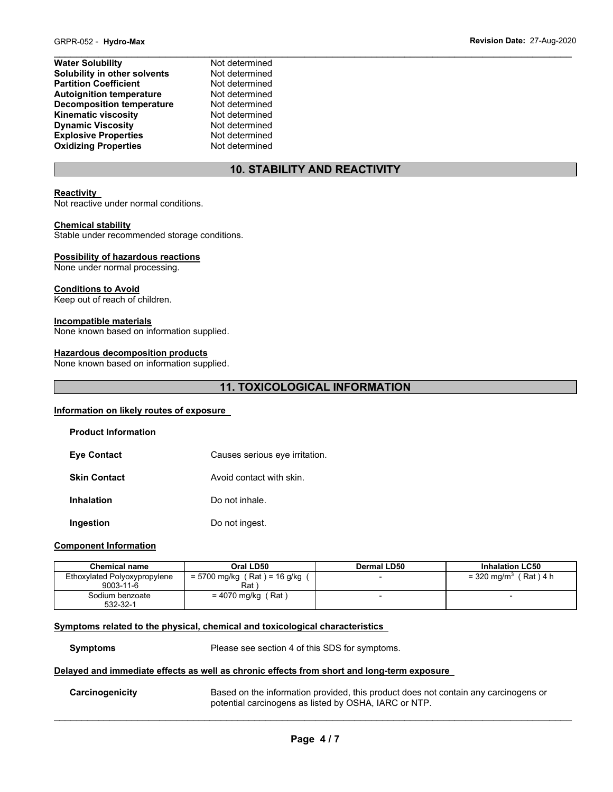| <b>Water Solubility</b>          | Not determined |
|----------------------------------|----------------|
| Solubility in other solvents     | Not determined |
| <b>Partition Coefficient</b>     | Not determined |
| <b>Autoignition temperature</b>  | Not determined |
| <b>Decomposition temperature</b> | Not determined |
| <b>Kinematic viscosity</b>       | Not determined |
| <b>Dynamic Viscosity</b>         | Not determined |
| <b>Explosive Properties</b>      | Not determined |
| <b>Oxidizing Properties</b>      | Not determined |

### **10. STABILITY AND REACTIVITY**

#### **Reactivity**

Not reactive under normal conditions.

#### **Chemical stability**

Stable under recommended storage conditions.

#### **Possibility of hazardous reactions**

None under normal processing.

#### **Conditions to Avoid**

Keep out of reach of children.

#### **Incompatible materials**

None known based on information supplied.

#### **Hazardous decomposition products**

None known based on information supplied.

### **11. TOXICOLOGICAL INFORMATION**

#### **Information on likely routes of exposure**

| <b>Product Information</b> |                                |
|----------------------------|--------------------------------|
| <b>Eye Contact</b>         | Causes serious eye irritation. |
| <b>Skin Contact</b>        | Avoid contact with skin.       |
| <b>Inhalation</b>          | Do not inhale.                 |
| Ingestion                  | Do not ingest.                 |

#### **Component Information**

| <b>Chemical name</b>                            | Oral LD50                             | Dermal LD50 | <b>Inhalation LC50</b>             |  |
|-------------------------------------------------|---------------------------------------|-------------|------------------------------------|--|
| Ethoxylated Polyoxypropylene<br>$9003 - 11 - 6$ | = 5700 mg/kg (Rat) = 16 g/kg (<br>Rat |             | = 320 mg/m <sup>3</sup> (Rat ) 4 h |  |
| Sodium benzoate<br>532-32-1                     | = 4070 mg/kg (Rat)                    |             | $\overline{\phantom{0}}$           |  |

#### **Symptoms related to the physical, chemical and toxicological characteristics**

**Symptoms** Please see section 4 of this SDS for symptoms.

### **Delayed and immediate effects as well as chronic effects from short and long-term exposure**

**Carcinogenicity** Based on the information provided, this product does not contain any carcinogens or potential carcinogens as listed by OSHA, IARC or NTP.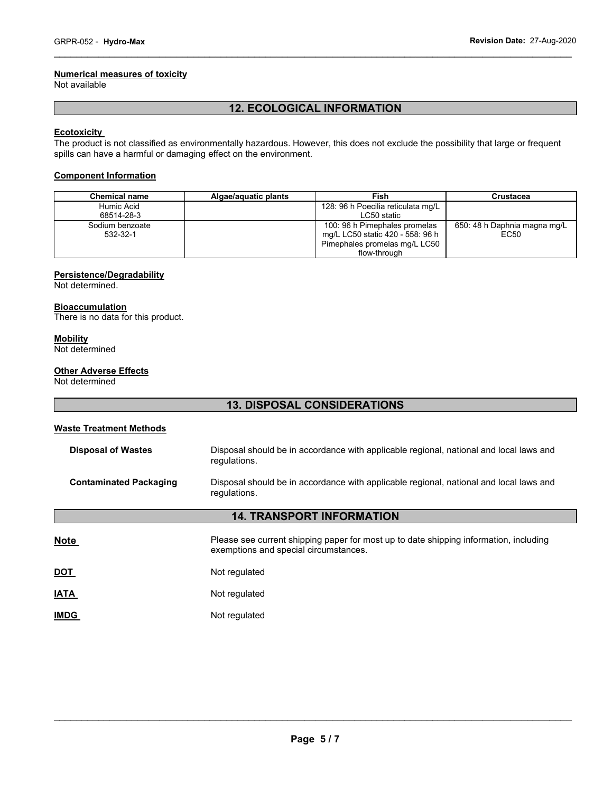### **Numerical measures of toxicity**

Not available

### **12. ECOLOGICAL INFORMATION**

\_\_\_\_\_\_\_\_\_\_\_\_\_\_\_\_\_\_\_\_\_\_\_\_\_\_\_\_\_\_\_\_\_\_\_\_\_\_\_\_\_\_\_\_\_\_\_\_\_\_\_\_\_\_\_\_\_\_\_\_\_\_\_\_\_\_\_\_\_\_\_\_\_\_\_\_\_\_\_\_\_\_\_\_\_\_\_\_\_\_\_\_\_

#### **Ecotoxicity**

The product is not classified as environmentally hazardous. However, this does not exclude the possibility that large or frequent spills can have a harmful or damaging effect on the environment.

#### **Component Information**

| <b>Chemical name</b> | Algae/aquatic plants | Fish                               | Crustacea                    |  |  |
|----------------------|----------------------|------------------------------------|------------------------------|--|--|
| Humic Acid           |                      | 128: 96 h Poecilia reticulata mg/L |                              |  |  |
| 68514-28-3           |                      | LC50 static                        |                              |  |  |
| Sodium benzoate      |                      | 100: 96 h Pimephales promelas      | 650: 48 h Daphnia magna mg/L |  |  |
| 532-32-1             |                      | mg/L LC50 static 420 - 558: 96 h   | EC50                         |  |  |
|                      |                      | Pimephales promelas mg/L LC50      |                              |  |  |
|                      |                      | flow-through                       |                              |  |  |

#### **Persistence/Degradability**

Not determined.

#### **Bioaccumulation**

There is no data for this product.

### **Mobility**

Not determined

#### **Other Adverse Effects**

Not determined

### **13. DISPOSAL CONSIDERATIONS**

### **Waste Treatment Methods**

| <b>Disposal of Wastes</b>     | Disposal should be in accordance with applicable regional, national and local laws and<br>requlations.                         |  |  |  |  |
|-------------------------------|--------------------------------------------------------------------------------------------------------------------------------|--|--|--|--|
| <b>Contaminated Packaging</b> | Disposal should be in accordance with applicable regional, national and local laws and<br>regulations.                         |  |  |  |  |
|                               | <b>14. TRANSPORT INFORMATION</b>                                                                                               |  |  |  |  |
| <b>Note</b>                   | Please see current shipping paper for most up to date shipping information, including<br>exemptions and special circumstances. |  |  |  |  |
| <b>DOT</b>                    | Not regulated                                                                                                                  |  |  |  |  |
| <b>IATA</b>                   | Not regulated                                                                                                                  |  |  |  |  |
| <b>IMDG</b>                   | Not regulated                                                                                                                  |  |  |  |  |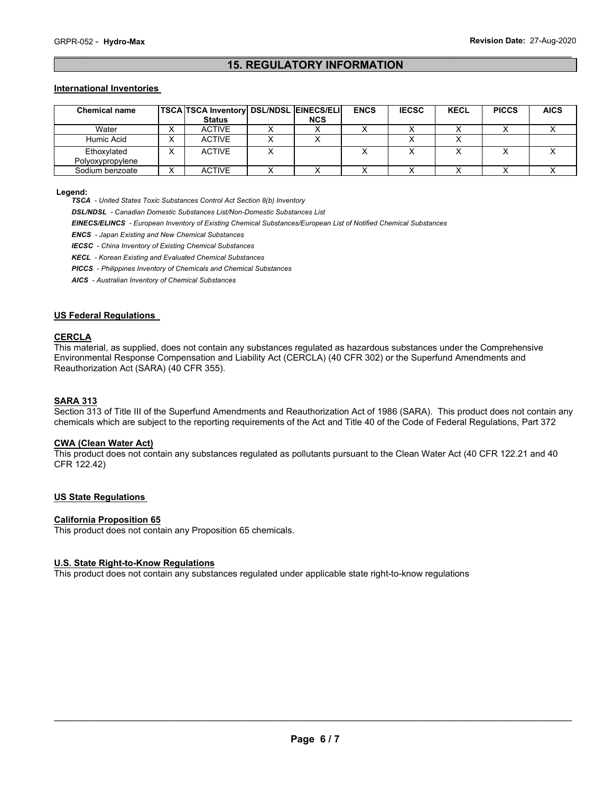#### \_\_\_\_\_\_\_\_\_\_\_\_\_\_\_\_\_\_\_\_\_\_\_\_\_\_\_\_\_\_\_\_\_\_\_\_\_\_\_\_\_\_\_\_\_\_\_\_\_\_\_\_\_\_\_\_\_\_\_\_\_\_\_\_\_\_\_\_\_\_\_\_\_\_\_\_\_\_\_\_\_\_\_\_\_\_\_\_\_\_\_\_\_ **15. REGULATORY INFORMATION**

#### **International Inventories**

| <b>Chemical name</b>            |           | <b>TSCA TSCA Inventory DSL/NDSL EINECS/ELI</b> |            | <b>ENCS</b> | <b>IECSC</b> | <b>KECL</b> | <b>PICCS</b> | <b>AICS</b> |
|---------------------------------|-----------|------------------------------------------------|------------|-------------|--------------|-------------|--------------|-------------|
|                                 |           | <b>Status</b>                                  | <b>NCS</b> |             |              |             |              |             |
| Water                           |           | <b>ACTIVE</b>                                  |            |             |              |             |              |             |
| Humic Acid                      | $\lambda$ | <b>ACTIVE</b>                                  |            |             |              |             |              |             |
| Ethoxylated<br>Polyoxypropylene |           | <b>ACTIVE</b>                                  |            |             |              |             |              |             |
| Sodium benzoate                 |           | <b>ACTIVE</b>                                  |            |             |              |             |              |             |

#### **Legend:**

*TSCA - United States Toxic Substances Control Act Section 8(b) Inventory* 

*DSL/NDSL - Canadian Domestic Substances List/Non-Domestic Substances List* 

*EINECS/ELINCS - European Inventory of Existing Chemical Substances/European List of Notified Chemical Substances* 

*ENCS - Japan Existing and New Chemical Substances* 

*IECSC - China Inventory of Existing Chemical Substances* 

*KECL - Korean Existing and Evaluated Chemical Substances* 

*PICCS - Philippines Inventory of Chemicals and Chemical Substances* 

*AICS - Australian Inventory of Chemical Substances* 

#### **US Federal Regulations**

#### **CERCLA**

This material, as supplied, does not contain any substances regulated as hazardous substances under the Comprehensive Environmental Response Compensation and Liability Act (CERCLA) (40 CFR 302) or the Superfund Amendments and Reauthorization Act (SARA) (40 CFR 355).

#### **SARA 313**

Section 313 of Title III of the Superfund Amendments and Reauthorization Act of 1986 (SARA). This product does not contain any chemicals which are subject to the reporting requirements of the Act and Title 40 of the Code of Federal Regulations, Part 372

### **CWA (Clean Water Act)**

This product does not contain any substances regulated as pollutants pursuant to the Clean Water Act (40 CFR 122.21 and 40 CFR 122.42)

#### **US State Regulations**

#### **California Proposition 65**

This product does not contain any Proposition 65 chemicals.

#### **U.S. State Right-to-Know Regulations**

This product does not contain any substances regulated under applicable state right-to-know regulations